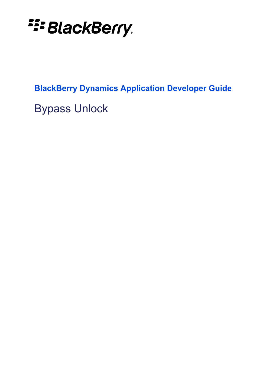**E: BlackBerry.** 

**BlackBerry Dynamics Application Developer Guide**

Bypass Unlock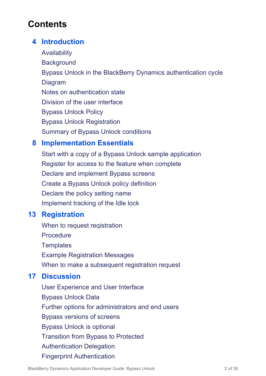## **Contents**

## **4 [Introduction](#page-3-0)**

**[Availability](#page-3-1) [Background](#page-3-2)** Bypass Unlock in the BlackBerry Dynamics [authentication](#page-4-0) cycle [Diagram](#page-4-1) Notes on [authentication](#page-5-0) state Division of the user [interface](#page-5-1) [Bypass](#page-5-2) Unlock Policy Bypass Unlock [Registration](#page-5-3) Summary of Bypass Unlock [conditions](#page-6-0)

## **8 [Implementation](#page-7-0) Essentials**

Start with a copy of a Bypass Unlock sample [application](#page-7-1) Register for access to the feature when [complete](#page-7-2) Declare and [implement](#page-8-0) Bypass screens Create a Bypass Unlock policy [definition](#page-9-0) [Declare](#page-10-0) the policy setting name [Implement](#page-11-0) tracking of the Idle lock

## **13 [Registration](#page-12-0)**

When to request [reqistration](#page-12-1) **[Procedure](#page-12-2) [Templates](#page-13-0)** Example [Registration](#page-15-0) Messages When to make a [subsequent](#page-15-1) registration request

## **17 [Discussion](#page-16-0)**

User [Experience](#page-16-1) and User Interface [Bypass](#page-16-2) Unlock Data Further options for [administrators](#page-18-0) and end users Bypass [versions](#page-18-1) of screens Bypass Unlock is [optional](#page-18-2) [Transition](#page-19-0) from Bypass to Protected [Authentication](#page-20-0) Delegation Fingerprint [Authentication](#page-21-0)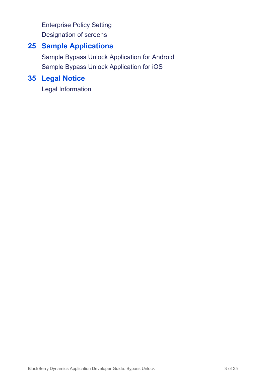[Enterprise](#page-21-1) Policy Setting [Designation](#page-23-0) of screens

### **25 Sample [Applications](#page-24-0)**

Sample Bypass Unlock [Application](#page-24-1) for Android Sample Bypass Unlock [Application](#page-29-0) for iOS

## **35 Legal [Notice](#page-34-0)**

Legal [Information](#page-34-1)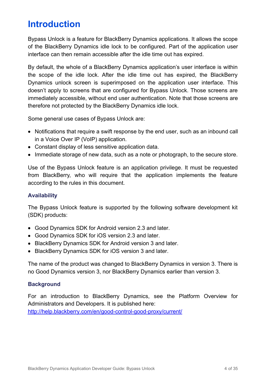# <span id="page-3-0"></span>**Introduction**

Bypass Unlock is a feature for BlackBerry Dynamics applications. It allows the scope of the BlackBerry Dynamics idle lock to be configured. Part of the application user interface can then remain accessible after the idle time out has expired.

By default, the whole of a BlackBerry Dynamics application's user interface is within the scope of the idle lock. After the idle time out has expired, the BlackBerry Dynamics unlock screen is superimposed on the application user interface. This doesn't apply to screens that are configured for Bypass Unlock. Those screens are immediately accessible, without end user authentication. Note that those screens are therefore not protected by the BlackBerry Dynamics idle lock.

Some general use cases of Bypass Unlock are:

- Notifications that require a swift response by the end user, such as an inbound call in a Voice Over IP (VoIP) application.
- Constant display of less sensitive application data.
- Immediate storage of new data, such as a note or photograph, to the secure store.

Use of the Bypass Unlock feature is an application privilege. It must be requested from BlackBerry, who will require that the application implements the feature according to the rules in this document.

#### <span id="page-3-1"></span>**Availability**

The Bypass Unlock feature is supported by the following software development kit (SDK) products:

- Good Dynamics SDK for Android version 2.3 and later.
- Good Dynamics SDK for iOS version 2.3 and later.
- BlackBerry Dynamics SDK for Android version 3 and later.
- BlackBerry Dynamics SDK for iOS version 3 and later.

The name of the product was changed to BlackBerry Dynamics in version 3. There is no Good Dynamics version 3, nor BlackBerry Dynamics earlier than version 3.

#### <span id="page-3-2"></span>**Background**

For an introduction to BlackBerry Dynamics, see the Platform Overview for Administrators and Developers. It is published here:

<http://help.blackberry.com/en/good-control-good-proxy/current/>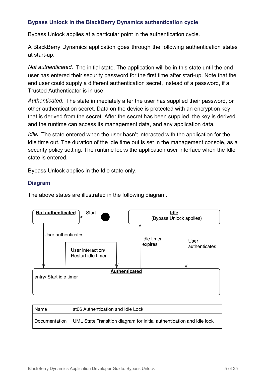### <span id="page-4-0"></span>**Bypass Unlock in the BlackBerry Dynamics authentication cycle**

Bypass Unlock applies at a particular point in the authentication cycle.

A BlackBerry Dynamics application goes through the following authentication states at start-up.

Not authenticated. The initial state. The application will be in this state until the end user has entered their security password for the first time after start-up. Note that the end user could supply a different authentication secret, instead of a password, if a Trusted Authenticator is in use.

Authenticated. The state immediately after the user has supplied their password, or other authentication secret. Data on the device is protected with an encryption key that is derived from the secret. After the secret has been supplied, the key is derived and the runtime can access its management data, and any application data.

*Idle.* The state entered when the user hasn't interacted with the application for the idle time out. The duration of the idle time out is set in the management console, as a security policy setting. The runtime locks the application user interface when the Idle state is entered.

Bypass Unlock applies in the Idle state only.

#### <span id="page-4-1"></span>**Diagram**

The above states are illustrated in the following diagram.



| l Name | st06 Authentication and Idle Lock                                                     |
|--------|---------------------------------------------------------------------------------------|
|        | Documentation   UML State Transition diagram for initial authentication and idle lock |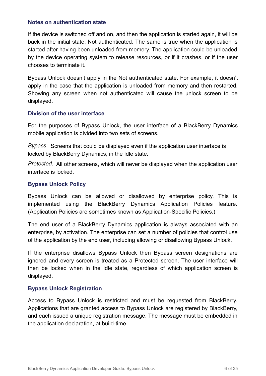#### <span id="page-5-0"></span>**Notes on authentication state**

If the device is switched off and on, and then the application is started again, it will be back in the initial state: Not authenticated. The same is true when the application is started after having been unloaded from memory. The application could be unloaded by the device operating system to release resources, or if it crashes, or if the user chooses to terminate it.

Bypass Unlock doesn't apply in the Not authenticated state. For example, it doesn't apply in the case that the application is unloaded from memory and then restarted. Showing any screen when not authenticated will cause the unlock screen to be displayed.

#### <span id="page-5-1"></span>**Division of the user interface**

For the purposes of Bypass Unlock, the user interface of a BlackBerry Dynamics mobile application is divided into two sets of screens.

*Bypass.* Screens that could be displayed even if the application user interface is locked by BlackBerry Dynamics, in the Idle state.

*Protected.* All other screens, which will never be displayed when the application user interface is locked.

#### <span id="page-5-2"></span>**Bypass Unlock Policy**

Bypass Unlock can be allowed or disallowed by enterprise policy. This is implemented using the BlackBerry Dynamics Application Policies feature. (Application Policies are sometimes known as Application-Specific Policies.)

The end user of a BlackBerry Dynamics application is always associated with an enterprise, by activation. The enterprise can set a number of policies that control use of the application by the end user, including allowing or disallowing Bypass Unlock.

If the enterprise disallows Bypass Unlock then Bypass screen designations are ignored and every screen is treated as a Protected screen. The user interface will then be locked when in the Idle state, regardless of which application screen is displayed.

#### <span id="page-5-3"></span>**Bypass Unlock Registration**

Access to Bypass Unlock is restricted and must be requested from BlackBerry. Applications that are granted access to Bypass Unlock are registered by BlackBerry, and each issued a unique registration message. The message must be embedded in the application declaration, at build-time.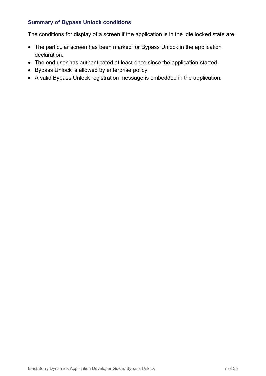### <span id="page-6-0"></span>**Summary of Bypass Unlock conditions**

The conditions for display of a screen if the application is in the Idle locked state are:

- The particular screen has been marked for Bypass Unlock in the application declaration.
- The end user has authenticated at least once since the application started.
- Bypass Unlock is allowed by enterprise policy.
- A valid Bypass Unlock registration message is embedded in the application.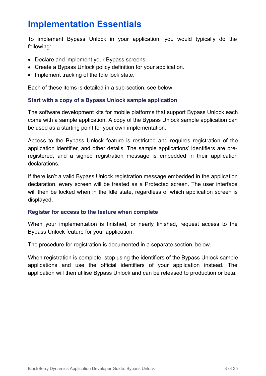# <span id="page-7-0"></span>**Implementation Essentials**

To implement Bypass Unlock in your application, you would typically do the following:

- Declare and implement your Bypass screens.
- Create a Bypass Unlock policy definition for your application.
- Implement tracking of the Idle lock state.

Each of these items is detailed in a sub-section, see below.

#### <span id="page-7-1"></span>**Start with a copy of a Bypass Unlock sample application**

The software development kits for mobile platforms that support Bypass Unlock each come with a sample application. A copy of the Bypass Unlock sample application can be used as a starting point for your own implementation.

Access to the Bypass Unlock feature is restricted and requires registration of the application identifier, and other details. The sample applications' identifiers are preregistered, and a signed registration message is embedded in their application declarations.

If there isn't a valid Bypass Unlock registration message embedded in the application declaration, every screen will be treated as a Protected screen. The user interface will then be locked when in the Idle state, regardless of which application screen is displayed.

#### <span id="page-7-2"></span>**Register for access to the feature when complete**

When your implementation is finished, or nearly finished, request access to the Bypass Unlock feature for your application.

The procedure for registration is documented in a separate section, below.

When registration is complete, stop using the identifiers of the Bypass Unlock sample applications and use the official identifiers of your application instead. The application will then utilise Bypass Unlock and can be released to production or beta.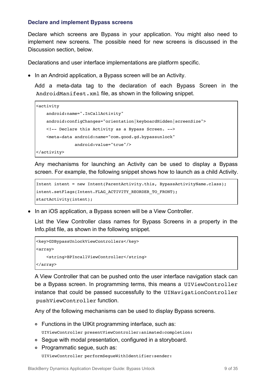#### <span id="page-8-0"></span>**Declare and implement Bypass screens**

Declare which screens are Bypass in your application. You might also need to implement new screens. The possible need for new screens is discussed in the Discussion section, below.

Declarations and user interface implementations are platform specific.

• In an Android application, a Bypass screen will be an Activity.

Add a meta-data tag to the declaration of each Bypass Screen in the AndroidManifest.xml file, as shown in the following snippet.

```
<activity
   android:name=".InCallActivity"
   android:configChanges="orientation|keyboardHidden|screenSize">
   <!-- Declare this Activity as a Bypass Screen. -->
   <meta-data android:name="com.good.gd.bypassunlock"
              android:value="true"/>
```
</activity>

Any mechanisms for launching an Activity can be used to display a Bypass screen. For example, the following snippet shows how to launch as a child Activity.

```
Intent intent = new Intent(ParentActivity.this, BypassActivityName.class);
intent.setFlags(Intent.FLAG_ACTIVITY_REORDER_TO_FRONT);
startActivity(intent);
```
• In an iOS application, a Bypass screen will be a View Controller.

List the View Controller class names for Bypass Screens in a property in the Info.plist file, as shown in the following snippet.

```
<key>GDBypassUnlockViewControllers</key>
<array>
   <string>BPIncallViewController</string>
</array>
```
A View Controller that can be pushed onto the user interface navigation stack can be a Bypass screen. In programming terms, this means a UIViewController instance that could be passed successfully to the UINavigationController pushViewController function.

Any of the following mechanisms can be used to display Bypass screens.

Functions in the UIKit programming interface, such as:

UIViewController presentViewController:animated:completion:

- Segue with modal presentation, configured in a storyboard.
- Programmatic segue, such as:

UIViewController performSegueWithIdentifier:sender: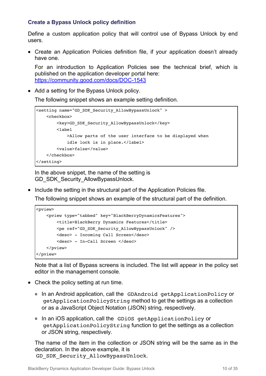### <span id="page-9-0"></span>**Create a Bypass Unlock policy definition**

Define a custom application policy that will control use of Bypass Unlock by end users.

Create an Application Policies definition file, if your application doesn't already have one.

For an introduction to Application Policies see the technical brief, which is published on the application developer portal here: <https://community.good.com/docs/DOC-1543>

• Add a setting for the Bypass Unlock policy.

The following snippet shows an example setting definition.

```
<setting name="GD_SDK_Security_AllowBypassUnlock" >
   <checkbox>
       <key>GD_SDK_Security_AllowBypassUnlock</key>
       <label
           >Allow parts of the user interface to be displayed when
           idle lock is in place.</label>
       <value>false</value>
   </checkbox>
</setting>
```
In the above snippet, the name of the setting is GD\_SDK\_Security\_AllowBypassUnlock.

• Include the setting in the structural part of the Application Policies file.

The following snippet shows an example of the structural part of the definition.

```
<pview>
   <pview type="tabbed" key="BlackBerryDynamicsFeatures">
       <title>BlackBerry Dynamics Features</title>
       <pe ref="GD_SDK_Security_AllowBypassUnlock" />
       <desc> - Incoming Call Screen</desc>
       <desc> - In-Call Screen </desc>
   </pview>
</pview>
```
Note that a list of Bypass screens is included. The list will appear in the policy set editor in the management console.

- Check the policy setting at run time.
	- In an Android application, call the GDAndroid getApplicationPolicy or getApplicationPolicyString method to get the settings as a collection or as a JavaScript Object Notation (JSON) string, respectively.
	- In an iOS application, call the GDiOS getApplicationPolicy or getApplicationPolicyString function to get the settings as a collection or JSON string, respectively.

The name of the item in the collection or JSON string will be the same as in the declaration. In the above example, it is GD\_SDK\_Security\_AllowBypassUnlock.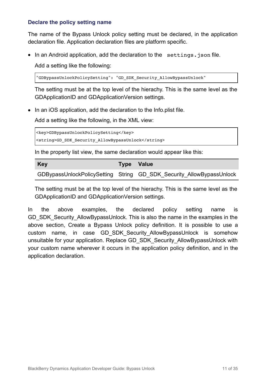### <span id="page-10-0"></span>**Declare the policy setting name**

The name of the Bypass Unlock policy setting must be declared, in the application declaration file. Application declaration files are platform specific.

• In an Android application, add the declaration to the settings. json file.

Add a setting like the following:

"GDBypassUnlockPolicySetting": "GD\_SDK\_Security\_AllowBypassUnlock"

The setting must be at the top level of the hierachy. This is the same level as the GDApplicationID and GDApplicationVersion settings.

• In an iOS application, add the declaration to the Info.plist file.

Add a setting like the following, in the XML view:

<key>GDBypassUnlockPolicySetting</key>

<string>GD\_SDK\_Security\_AllowBypassUnlock</string>

In the property list view, the same declaration would appear like this:

| <b>Key</b> | Type Value                                                           |
|------------|----------------------------------------------------------------------|
|            | GDBypassUnlockPolicySetting String GD SDK Security AllowBypassUnlock |

The setting must be at the top level of the hierachy. This is the same level as the GDApplicationID and GDApplicationVersion settings.

In the above examples, the declared policy setting name is GD\_SDK\_Security\_AllowBypassUnlock. This is also the name in the examples in the above section, Create a Bypass Unlock policy definition. It is possible to use a custom name, in case GD\_SDK\_Security\_AllowBypassUnlock is somehow unsuitable for your application. Replace GD\_SDK\_Security\_AllowBypassUnlock with your custom name wherever it occurs in the application policy definition, and in the application declaration.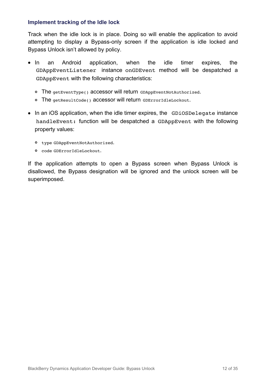#### <span id="page-11-0"></span>**Implement tracking of the Idle lock**

Track when the idle lock is in place. Doing so will enable the application to avoid attempting to display a Bypass-only screen if the application is idle locked and Bypass Unlock isn't allowed by policy.

- In an Android application, when the idle timer expires, the GDAppEventListener instance onGDEvent method will be despatched a GDAppEvent with the following characteristics:
	- The getEventType() accessor will return GDAppEventNotAuthorized.
	- o The getResultCode() accessor will return GDErrorIdleLockout.
- In an iOS application, when the idle timer expires, the GDiOSDelegate instance handleEvent: function will be despatched a GDAppEvent with the following property values:
	- type GDAppEventNotAuthorized.
	- code GDErrorIdleLockout.

If the application attempts to open a Bypass screen when Bypass Unlock is disallowed, the Bypass designation will be ignored and the unlock screen will be superimposed.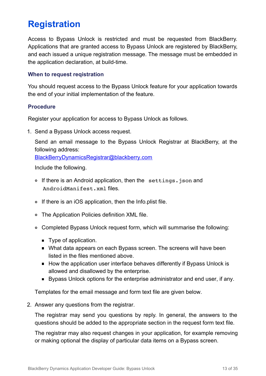# <span id="page-12-0"></span>**Registration**

Access to Bypass Unlock is restricted and must be requested from BlackBerry. Applications that are granted access to Bypass Unlock are registered by BlackBerry, and each issued a unique registration message. The message must be embedded in the application declaration, at build-time.

#### <span id="page-12-1"></span>**When to request reqistration**

You should request access to the Bypass Unlock feature for your application towards the end of your initial implementation of the feature.

#### <span id="page-12-2"></span>**Procedure**

Register your application for access to Bypass Unlock as follows.

1. Send a Bypass Unlock access request.

Send an email message to the Bypass Unlock Registrar at BlackBerry, at the following address:

[BlackBerryDynamicsRegistrar@blackberry.com](mailto:BlackBerryDynamicsRegistrar@blackberry.com)

Include the following.

- o If there is an Android application, then the settings.json and AndroidManifest.xml files.
- If there is an iOS application, then the Info.plist file.
- The Application Policies definition XML file.
- Completed Bypass Unlock request form, which will summarise the following:
	- Type of application.
	- What data appears on each Bypass screen. The screens will have been listed in the files mentioned above.
	- How the application user interface behaves differently if Bypass Unlock is allowed and disallowed by the enterprise.
	- Bypass Unlock options for the enterprise administrator and end user, if any.

Templates for the email message and form text file are given below.

2. Answer any questions from the registrar.

The registrar may send you questions by reply. In general, the answers to the questions should be added to the appropriate section in the request form text file.

The registrar may also request changes in your application, for example removing or making optional the display of particular data items on a Bypass screen.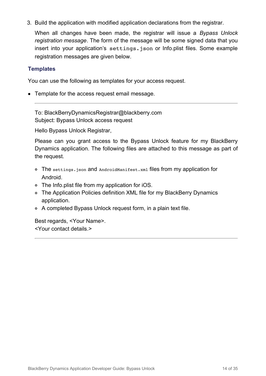3. Build the application with modified application declarations from the registrar.

When all changes have been made, the registrar will issue a *Bypass Unlock registration message*. The form of the message will be some signed data that you insert into your application's settings.json or Info.plist files. Some example registration messages are given below.

### <span id="page-13-0"></span>**Templates**

You can use the following as templates for your access request.

• Template for the access request email message.

To: BlackBerryDynamicsRegistrar@blackberry.com Subject: Bypass Unlock access request

Hello Bypass Unlock Registrar,

Please can you grant access to the Bypass Unlock feature for my BlackBerry Dynamics application. The following files are attached to this message as part of the request.

- o The settings.json and AndroidManifest.xml files from my application for Android.
- The Info.plist file from my application for iOS.
- The Application Policies definition XML file for my BlackBerry Dynamics application.
- A completed Bypass Unlock request form, in a plain text file.

Best regards, <Your Name>. <Your contact details.>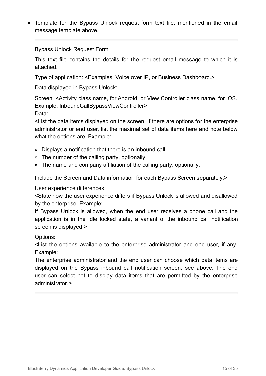Template for the Bypass Unlock request form text file, mentioned in the email message template above.

#### Bypass Unlock Request Form

This text file contains the details for the request email message to which it is attached.

Type of application: <Examples: Voice over IP, or Business Dashboard.>

Data displayed in Bypass Unlock:

Screen: <Activity class name, for Android, or View Controller class name, for iOS. Example: InboundCallBypassViewController> Data:

<List the data items displayed on the screen. If there are options for the enterprise administrator or end user, list the maximal set of data items here and note below what the options are. Example:

- Displays a notification that there is an inbound call.
- The number of the calling party, optionally.
- The name and company affiliation of the calling party, optionally.

Include the Screen and Data information for each Bypass Screen separately.>

User experience differences:

<State how the user experience differs if Bypass Unlock is allowed and disallowed by the enterprise. Example:

If Bypass Unlock is allowed, when the end user receives a phone call and the application is in the Idle locked state, a variant of the inbound call notification screen is displayed.>

Options:

<List the options available to the enterprise administrator and end user, if any. Example:

The enterprise administrator and the end user can choose which data items are displayed on the Bypass inbound call notification screen, see above. The end user can select not to display data items that are permitted by the enterprise administrator.>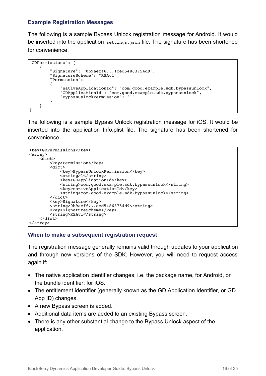### <span id="page-15-0"></span>**Example Registration Messages**

The following is a sample Bypass Unlock registration message for Android. It would be inserted into the application settings.json file. The signature has been shortened for convenience.

```
"GDPermissions": [
    {
        "Signature": "0b9aeff6...1ced54863754d9",
        "SignatureScheme": "RSAv1",
        "Permission":
        {
            "nativeApplicationId": "com.good.example.sdk.bypassunlock",
            "GDApplicationId": "com.good.example.sdk.bypassunlock",
            "BypassUnlockPermission": "1"
       }
   }
]
```
The following is a sample Bypass Unlock registration message for iOS. It would be inserted into the application Info.plist file. The signature has been shortened for convenience.

```
<key>GDPermissions</key>
<array>
   <dict>
        <key>Permission</key>
        <dict>
            <key>BypassUnlockPermission</key>
            <string>1</string>
            <key>GDApplicationId</key>
            <string>com.good.example.sdk.bypassunlock</string>
            <key>nativeApplicationId</key>
            <string>com.good.example.sdk.bypassunlock</string>
        </dict>
        <key>Signature</key>
        <string>0b9aeff...ced54863754d9</string>
        <key>SignatureScheme</key>
        <string>RSAv1</string>
    \langledict\rangle</array>
```
#### <span id="page-15-1"></span>**When to make a subsequent registration request**

The registration message generally remains valid through updates to your application and through new versions of the SDK. However, you will need to request access again if:

- The native application identifier changes, i.e. the package name, for Android, or the bundle identifier, for iOS.
- The entitlement identifier (generally known as the GD Application Identifier, or GD App ID) changes.
- A new Bypass screen is added.
- Additional data items are added to an existing Bypass screen.
- There is any other substantial change to the Bypass Unlock aspect of the application.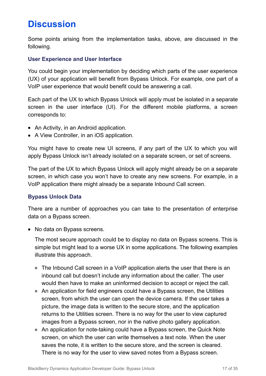# <span id="page-16-0"></span>**Discussion**

Some points arising from the implementation tasks, above, are discussed in the following.

#### <span id="page-16-1"></span>**User Experience and User Interface**

You could begin your implementation by deciding which parts of the user experience (UX) of your application will benefit from Bypass Unlock. For example, one part of a VoIP user experience that would benefit could be answering a call.

Each part of the UX to which Bypass Unlock will apply must be isolated in a separate screen in the user interface (UI). For the different mobile platforms, a screen corresponds to:

- An Activity, in an Android application.
- A View Controller, in an iOS application.

You might have to create new UI screens, if any part of the UX to which you will apply Bypass Unlock isn't already isolated on a separate screen, or set of screens.

The part of the UX to which Bypass Unlock will apply might already be on a separate screen, in which case you won't have to create any new screens. For example, in a VoIP application there might already be a separate Inbound Call screen.

#### <span id="page-16-2"></span>**Bypass Unlock Data**

There are a number of approaches you can take to the presentation of enterprise data on a Bypass screen.

• No data on Bypass screens.

The most secure approach could be to display no data on Bypass screens. This is simple but might lead to a worse UX in some applications. The following examples illustrate this approach.

- The Inbound Call screen in a VoIP application alerts the user that there is an inbound call but doesn't include any information about the caller. The user would then have to make an uninformed decision to accept or reject the call.
- An application for field engineers could have a Bypass screen, the Utilities screen, from which the user can open the device camera. If the user takes a picture, the image data is written to the secure store, and the application returns to the Utilities screen. There is no way for the user to view captured images from a Bypass screen, nor in the native photo gallery application.
- An application for note-taking could have a Bypass screen, the Quick Note screen, on which the user can write themselves a text note. When the user saves the note, it is written to the secure store, and the screen is cleared. There is no way for the user to view saved notes from a Bypass screen.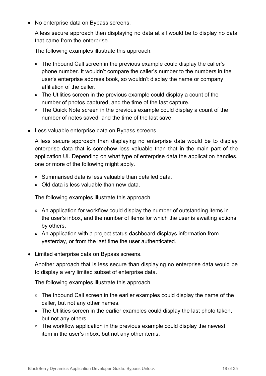• No enterprise data on Bypass screens.

A less secure approach then displaying no data at all would be to display no data that came from the enterprise.

The following examples illustrate this approach.

- The Inbound Call screen in the previous example could display the caller's phone number. It wouldn't compare the caller's number to the numbers in the user's enterprise address book, so wouldn't display the name or company affiliation of the caller.
- The Utilities screen in the previous example could display a count of the number of photos captured, and the time of the last capture.
- The Quick Note screen in the previous example could display a count of the number of notes saved, and the time of the last save.
- Less valuable enterprise data on Bypass screens.

A less secure approach than displaying no enterprise data would be to display enterprise data that is somehow less valuable than that in the main part of the application UI. Depending on what type of enterprise data the application handles, one or more of the following might apply.

- Summarised data is less valuable than detailed data.
- Old data is less valuable than new data.

The following examples illustrate this approach.

- An application for workflow could display the number of outstanding items in the user's inbox, and the number of items for which the user is awaiting actions by others.
- An application with a project status dashboard displays information from yesterday, or from the last time the user authenticated.
- Limited enterprise data on Bypass screens.

Another approach that is less secure than displaying no enterprise data would be to display a very limited subset of enterprise data.

The following examples illustrate this approach.

- The Inbound Call screen in the earlier examples could display the name of the caller, but not any other names.
- The Utilities screen in the earlier examples could display the last photo taken, but not any others.
- The workflow application in the previous example could display the newest item in the user's inbox, but not any other items.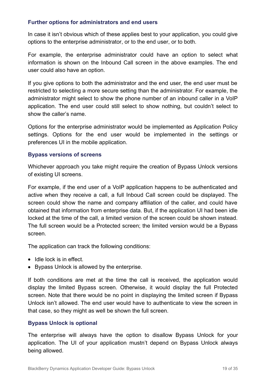#### <span id="page-18-0"></span>**Further options for administrators and end users**

In case it isn't obvious which of these applies best to your application, you could give options to the enterprise administrator, or to the end user, or to both.

For example, the enterprise administrator could have an option to select what information is shown on the Inbound Call screen in the above examples. The end user could also have an option.

If you give options to both the administrator and the end user, the end user must be restricted to selecting a more secure setting than the administrator. For example, the administrator might select to show the phone number of an inbound caller in a VoIP application. The end user could still select to show nothing, but couldn't select to show the caller's name.

Options for the enterprise administrator would be implemented as Application Policy settings. Options for the end user would be implemented in the settings or preferences UI in the mobile application.

#### <span id="page-18-1"></span>**Bypass versions of screens**

Whichever approach you take might require the creation of Bypass Unlock versions of existing UI screens.

For example, if the end user of a VoIP application happens to be authenticated and active when they receive a call, a full Inboud Call screen could be displayed. The screen could show the name and company affiliation of the caller, and could have obtained that information from enterprise data. But, if the application UI had been idle locked at the time of the call, a limited version of the screen could be shown instead. The full screen would be a Protected screen; the limited version would be a Bypass screen.

The application can track the following conditions:

- $\bullet$  Idle lock is in effect.
- Bypass Unlock is allowed by the enterprise.

If both conditions are met at the time the call is received, the application would display the limited Bypass screen. Otherwise, it would display the full Protected screen. Note that there would be no point in displaying the limited screen if Bypass Unlock isn't allowed. The end user would have to authenticate to view the screen in that case, so they might as well be shown the full screen.

#### <span id="page-18-2"></span>**Bypass Unlock is optional**

The enterprise will always have the option to disallow Bypass Unlock for your application. The UI of your application mustn't depend on Bypass Unlock always being allowed.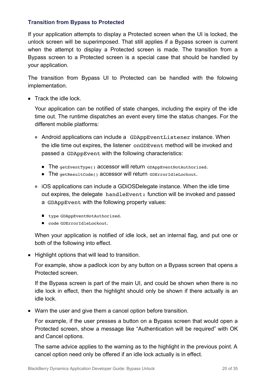### <span id="page-19-0"></span>**Transition from Bypass to Protected**

If your application attempts to display a Protected screen when the UI is locked, the unlock screen will be superimposed. That still applies if a Bypass screen is current when the attempt to display a Protected screen is made. The transition from a Bypass screen to a Protected screen is a special case that should be handled by your application.

The transition from Bypass UI to Protected can be handled with the folowing implementation.

• Track the idle lock.

Your application can be notified of state changes, including the expiry of the idle time out. The runtime dispatches an event every time the status changes. For the different mobile platforms:

- Android applications can include a GDAppEventListener instance. When the idle time out expires, the listener onGDEvent method will be invoked and passed a GDAppEvent with the following characteristics:
	- The getEventType() accessor will return GDAppEventNotAuthorized.
	- The getResultCode() accessor will return GDErrorIdleLockout.
- iOS applications can include a GDiOSDelegate instance. When the idle time out expires, the delegate handleEvent: function will be invoked and passed a GDAppEvent with the following property values:
	- type GDAppEventNotAuthorized.
	- code GDErrorIdleLockout.

When your application is notified of idle lock, set an internal flag, and put one or both of the following into effect.

• Highlight options that will lead to transition.

For example, show a padlock icon by any button on a Bypass screen that opens a Protected screen.

If the Bypass screen is part of the main UI, and could be shown when there is no idle lock in effect, then the highlight should only be shown if there actually is an idle lock.

Warn the user and give them a cancel option before transition.

For example, if the user presses a button on a Bypass screen that would open a Protected screen, show a message like "Authentication will be required" with OK and Cancel options.

The same advice applies to the warning as to the highlight in the previous point. A cancel option need only be offered if an idle lock actually is in effect.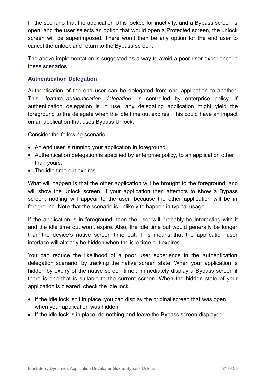In the scenario that the application UI is locked for inactivity, and a Bypass screen is open, and the user selects an option that would open a Protected screen, the unlock screen will be superimposed. There won't then be any option for the end user to cancel the unlock and return to the Bypass screen.

The above implementation is suggested as a way to avoid a poor user experience in these scenarios.

### <span id="page-20-0"></span>**Authentication Delegation**

Authentication of the end user can be delegated from one application to another. This feature, *authentication delegation*, is controlled by enterprise policy. If authentication delegation is in use, any delegating application might yield the foreground to the delegate when the idle time out expires. This could have an impact on an application that uses Bypass Unlock.

Consider the following scenario:

- An end user is running your application in foreground.
- Authentication delegation is specified by enterprise policy, to an application other than yours.
- The idle time out expires.

What will happen is that the other application will be brought to the foreground, and will show the unlock screen. If your application then attempts to show a Bypass screen, nothing will appear to the user, because the other application will be in foreground. Note that the scenario is unlikely to happen in typical usage.

If the application is in foreground, then the user will probably be interacting with it and the idle time out won't expire. Also, the idle time out would generally be longer than the device's native screen time out. This means that the application user interface will already be hidden when the idle time out expires.

You can reduce the likelihood of a poor user experience in the authentication delegation scenario, by tracking the native screen state. When your application is hidden by expiry of the native screen timer, immediately display a Bypass screen if there is one that is suitable to the current screen. When the hidden state of your application is cleared, check the idle lock.

- If the idle lock isn't in place, you can display the original screen that was open when your application was hidden.
- If the idle lock is in place, do nothing and leave the Bypass screen displayed.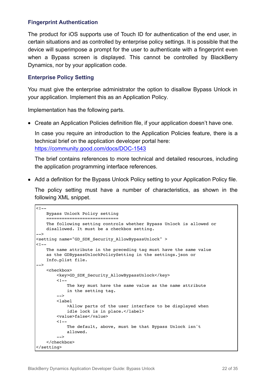### <span id="page-21-0"></span>**Fingerprint Authentication**

The product for iOS supports use of Touch ID for authentication of the end user, in certain situations and as controlled by enterprise policy settings. It is possible that the device will superimpose a prompt for the user to authenticate with a fingerprint even when a Bypass screen is displayed. This cannot be controlled by BlackBerry Dynamics, nor by your application code.

### <span id="page-21-1"></span>**Enterprise Policy Setting**

You must give the enterprise administrator the option to disallow Bypass Unlock in your application. Implement this as an Application Policy.

Implementation has the following parts.

Create an Application Policies definition file, if your application doesn't have one.

In case you require an introduction to the Application Policies feature, there is a technical brief on the application developer portal here: <https://community.good.com/docs/DOC-1543>

The brief contains references to more technical and detailed resources, including the application programming interface references.

• Add a definition for the Bypass Unlock Policy setting to your Application Policy file.

The policy setting must have a number of characteristics, as shown in the following XML snippet.

```
1 - -Bypass Unlock Policy setting
    ============================
    The following setting controls whether Bypass Unlock is allowed or
    disallowed. It must be a checkbox setting.
-->
<setting name="GD_SDK_Security_AllowBypassUnlock" >
1 -The name attribute in the preceding tag must have the same value
    as the GDBypassUnlockPolicySetting in the settings.json or
    Info.plist file.
-->
    <checkbox>
       <key>GD_SDK_Security_AllowBypassUnlock</key>
        <! -The key must have the same value as the name attribute
            in the setting tag.
        -->
        <label
            >Allow parts of the user interface to be displayed when
            idle lock is in place.</label>
        <value>false</value>
        < 1 - -The default, above, must be that Bypass Unlock isn't
            allowed.
        -->
    </checkbox>
</setting>
```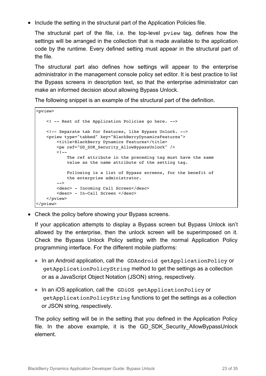• Include the setting in the structural part of the Application Policies file.

The structural part of the file, i.e. the top-level pview tag, defines how the settings will be arranged in the collection that is made available to the application code by the runtime. Every defined setting must appear in the structural part of the file.

The structural part also defines how settings will appear to the enterprise administrator in the management console policy set editor. It is best practice to list the Bypass screens in description text, so that the enterprise administrator can make an informed decision about allowing Bypass Unlock.

The following snippet is an example of the structural part of the definition.

```
<pview>
   <! -- Rest of the Application Policies go here. -->
   <!-- Separate tab for features, like Bypass Unlock. -->
   <pview type="tabbed" key="BlackBerryDynamicsFeatures">
       <title>BlackBerry Dynamics Features</title>
       <pe ref="GD_SDK_Security_AllowBypassUnlock" />
       < 1 - -The ref attribute in the preceding tag must have the same
           value as the name attribute of the setting tag.
           Following is a list of Bypass screens, for the benefit of
           the enterprise administrator.
        -->
       <desc> - Incoming Call Screen</desc>
       <desc> - In-Call Screen </desc>
   </pview>
</pview>
```
Check the policy before showing your Bypass screens.

If your application attempts to display a Bypass screen but Bypass Unlock isn't allowed by the enterprise, then the unlock screen will be superimposed on it. Check the Bypass Unlock Policy setting with the normal Application Policy programming interface. For the different mobile platforms:

- o In an Android application, call the GDAndroid getApplicationPolicy or getApplicationPolicyString method to get the settings as a collection or as a JavaScript Object Notation (JSON) string, respectively.
- In an iOS application, call the GDiOS getApplicationPolicy or getApplicationPolicyString functions to get the settings as a collection or JSON string, respectively.

The policy setting will be in the setting that you defined in the Application Policy file. In the above example, it is the GD\_SDK\_Security\_AllowBypassUnlock element.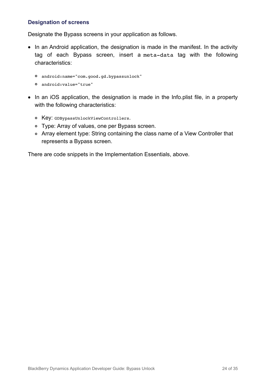### <span id="page-23-0"></span>**Designation of screens**

Designate the Bypass screens in your application as follows.

- In an Android application, the designation is made in the manifest. In the activity tag of each Bypass screen, insert a meta-data tag with the following characteristics:
	- android:name="com.good.gd.bypassunlock"
	- android:value="true"
- In an iOS application, the designation is made in the Info.plist file, in a property with the following characteristics:
	- Key: GDBypassUnlockViewControllers.
	- Type: Array of values, one per Bypass screen.
	- Array element type: String containing the class name of a View Controller that represents a Bypass screen.

There are code snippets in the Implementation Essentials, above.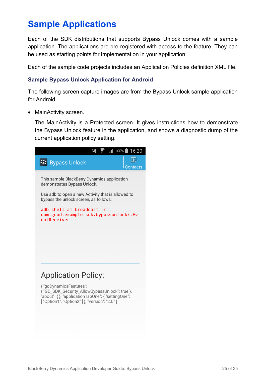# <span id="page-24-0"></span>**Sample Applications**

Each of the SDK distributions that supports Bypass Unlock comes with a sample application. The applications are pre-registered with access to the feature. They can be used as starting points for implementation in your application.

Each of the sample code projects includes an Application Policies definition XML file.

### <span id="page-24-1"></span>**Sample Bypass Unlock Application for Android**

The following screen capture images are from the Bypass Unlock sample application for Android.

• MainActivity screen.

The MainActivity is a Protected screen. It gives instructions how to demonstrate the Bypass Unlock feature in the application, and shows a diagnostic dump of the current application policy setting.

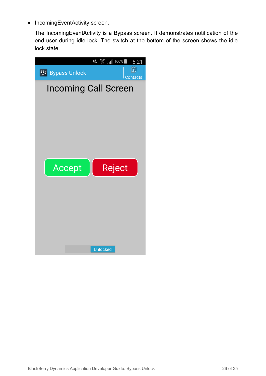• IncomingEventActivity screen.

The IncomingEventActivity is a Bypass screen. It demonstrates notification of the end user during idle lock. The switch at the bottom of the screen shows the idle lock state.

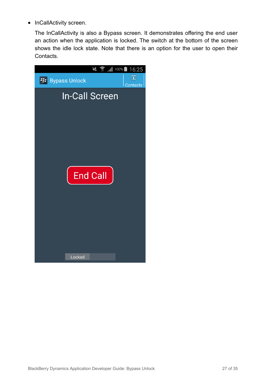• InCallActivity screen.

The InCallActivity is also a Bypass screen. It demonstrates offering the end user an action when the application is locked. The switch at the bottom of the screen shows the idle lock state. Note that there is an option for the user to open their Contacts.

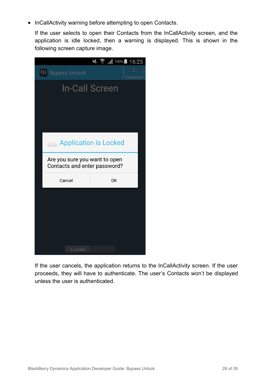• InCallActivity warning before attempting to open Contacts.

If the user selects to open their Contacts from the InCallActivity screen, and the application is idle locked, then a warning is displayed. This is shown in the following screen capture image.



If the user cancels, the application returns to the InCallActivity screen. If the user proceeds, they will have to authenticate. The user's Contacts won't be displayed unless the user is authenticated.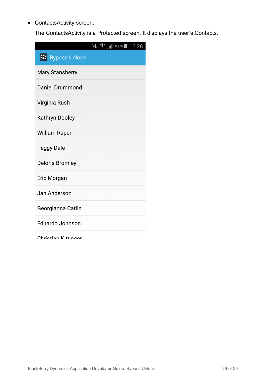ContactsActivity screen.

The ContactsActivity is a Protected screen. It displays the user's Contacts.

|                         | $\leq$ $\frac{1}{3}$ $\frac{1}{100\%}$ 16:26 |
|-------------------------|----------------------------------------------|
| <b>E:</b> Bypass Unlock |                                              |
| <b>Mary Stansberry</b>  |                                              |
| <b>Daniel Drummond</b>  |                                              |
| Virginia Rush           |                                              |
| Kathryn Dooley          |                                              |
| <b>William Raper</b>    |                                              |
| <b>Peggy Dale</b>       |                                              |
| <b>Deloris Bromley</b>  |                                              |
| Eric Morgan             |                                              |
| Jan Anderson            |                                              |
| Georgianna Catlin       |                                              |
| <b>Eduardo Johnson</b>  |                                              |
| Christian Kittinner     |                                              |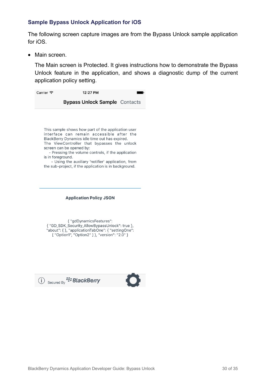#### <span id="page-29-0"></span>**Sample Bypass Unlock Application for iOS**

The following screen capture images are from the Bypass Unlock sample application for iOS.

• Main screen.

The Main screen is Protected. It gives instructions how to demonstrate the Bypass Unlock feature in the application, and shows a diagnostic dump of the current application policy setting.

| Carrier <del>२</del> | 12:27 PM                             |  |
|----------------------|--------------------------------------|--|
|                      | <b>Bypass Unlock Sample Contacts</b> |  |

This sample shows how part of the application user interface can remain accessible after the BlackBerry Dynamics idle time out has expired. The ViewController that bypasses the unlock screen can be opened by:

- Pressing the volume controls, if the application is in foreground.

- Using the auxiliary 'notifier' application, from the sub-project, if the application is in background.

#### **Application Policy JSON**

{ "gdDynamicsFeatures": { "GD\_SDK\_Security\_AllowBypassUnlock": true }, "about": { }, "applicationTabOne": { "settingOne": [ "Option1", "Option2" ] }, "version": "2.0" }



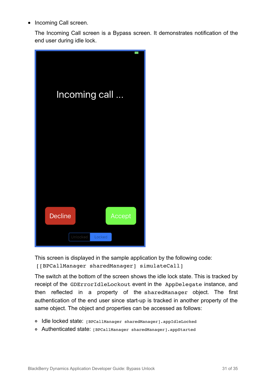• Incoming Call screen.

The Incoming Call screen is a Bypass screen. It demonstrates notification of the end user during idle lock.



This screen is displayed in the sample application by the following code: [[BPCallManager sharedManager] simulateCall]

The switch at the bottom of the screen shows the idle lock state. This is tracked by receipt of the GDErrorIdleLockout event in the AppDelegate instance, and then reflected in a property of the sharedManager object. The first authentication of the end user since start-up is tracked in another property of the same object. The object and properties can be accessed as follows:

- Idle locked state: [BPCallManager sharedManager].appIdleLocked
- Authenticated state: [BPCallManager sharedManager].appStarted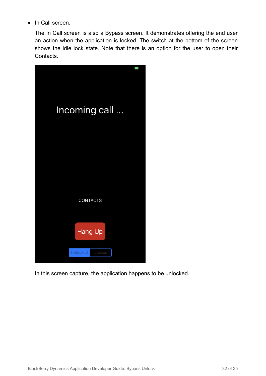• In Call screen.

The In Call screen is also a Bypass screen. It demonstrates offering the end user an action when the application is locked. The switch at the bottom of the screen shows the idle lock state. Note that there is an option for the user to open their Contacts.



In this screen capture, the application happens to be unlocked.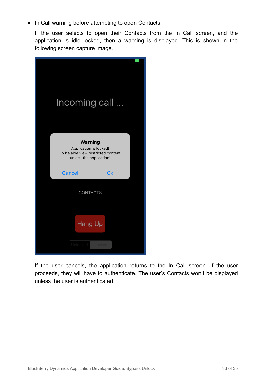• In Call warning before attempting to open Contacts.

If the user selects to open their Contacts from the In Call screen, and the application is idle locked, then a warning is displayed. This is shown in the following screen capture image.



If the user cancels, the application returns to the In Call screen. If the user proceeds, they will have to authenticate. The user's Contacts won't be displayed unless the user is authenticated.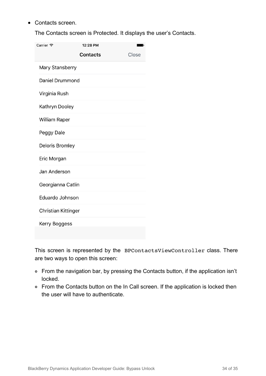• Contacts screen.

The Contacts screen is Protected. It displays the user's Contacts.

| Carrier <i>इ</i>    | 12:28 PM        |  |       |  |  |
|---------------------|-----------------|--|-------|--|--|
|                     | <b>Contacts</b> |  | Close |  |  |
| Mary Stansberry     |                 |  |       |  |  |
| Daniel Drummond     |                 |  |       |  |  |
| Virginia Rush       |                 |  |       |  |  |
| Kathryn Dooley      |                 |  |       |  |  |
| William Raper       |                 |  |       |  |  |
| Peggy Dale          |                 |  |       |  |  |
| Deloris Bromley     |                 |  |       |  |  |
| Eric Morgan         |                 |  |       |  |  |
| Jan Anderson        |                 |  |       |  |  |
| Georgianna Catlin   |                 |  |       |  |  |
| Eduardo Johnson     |                 |  |       |  |  |
| Christian Kittinger |                 |  |       |  |  |
| Kerry Boggess       |                 |  |       |  |  |
|                     |                 |  |       |  |  |

This screen is represented by the BPContactsViewController class. There are two ways to open this screen:

- From the navigation bar, by pressing the Contacts button, if the application isn't locked.
- From the Contacts button on the In Call screen. If the application is locked then the user will have to authenticate.